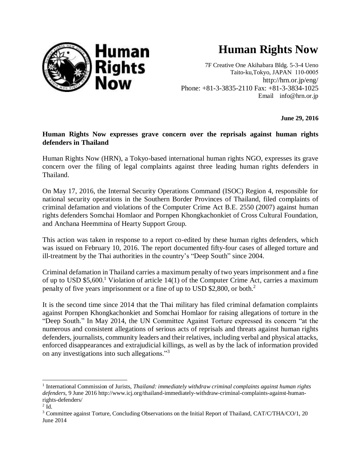

## **Human Rights Now**

7F Creative One Akihabara Bldg. 5-3-4 Ueno Taito-ku,Tokyo, JAPAN 110-0005 http://hrn.or.jp/eng/ Phone: +81-3-3835-2110 Fax: +81-3-3834-1025 Email [info@hrn.or.jp](mailto:info@hrn.or.jp)

**June 29, 2016**

## **Human Rights Now expresses grave concern over the reprisals against human rights defenders in Thailand**

Human Rights Now (HRN), a Tokyo-based international human rights NGO, expresses its grave concern over the filing of legal complaints against three leading human rights defenders in Thailand.

On May 17, 2016, the Internal Security Operations Command (ISOC) Region 4, responsible for national security operations in the Southern Border Provinces of Thailand, filed complaints of criminal defamation and violations of the Computer Crime Act B.E. 2550 (2007) against human rights defenders Somchai Homlaor and Pornpen Khongkachonkiet of Cross Cultural Foundation, and Anchana Heemmina of Hearty Support Group.

This action was taken in response to a report co-edited by these human rights defenders, which was issued on February 10, 2016. The report documented fifty-four cases of alleged torture and ill-treatment by the Thai authorities in the country's "Deep South" since 2004.

Criminal defamation in Thailand carries a maximum penalty of two years imprisonment and a fine of up to USD \$5,600. <sup>1</sup> Violation of article 14(1) of the Computer Crime Act, carries a maximum penalty of five years imprisonment or a fine of up to USD \$2,800, or both.<sup>2</sup>

It is the second time since 2014 that the Thai military has filed criminal defamation complaints against Pornpen Khongkachonkiet and Somchai Homlaor for raising allegations of torture in the "Deep South." In May 2014, the UN Committee Against Torture expressed its concern "at the numerous and consistent allegations of serious acts of reprisals and threats against human rights defenders, journalists, community leaders and their relatives, including verbal and physical attacks, enforced disappearances and extrajudicial killings, as well as by the lack of information provided on any investigations into such allegations."<sup>3</sup>

l

<sup>&</sup>lt;sup>1</sup> International Commission of Jurists, *Thailand: immediately withdraw criminal complaints against human rights defenders*, 9 June 2016 http://www.icj.org/thailand-immediately-withdraw-criminal-complaints-against-humanrights-defenders/

 $2$  Id.

<sup>&</sup>lt;sup>3</sup> Committee against Torture, Concluding Observations on the Initial Report of Thailand, CAT/C/THA/CO/1, 20 June 2014